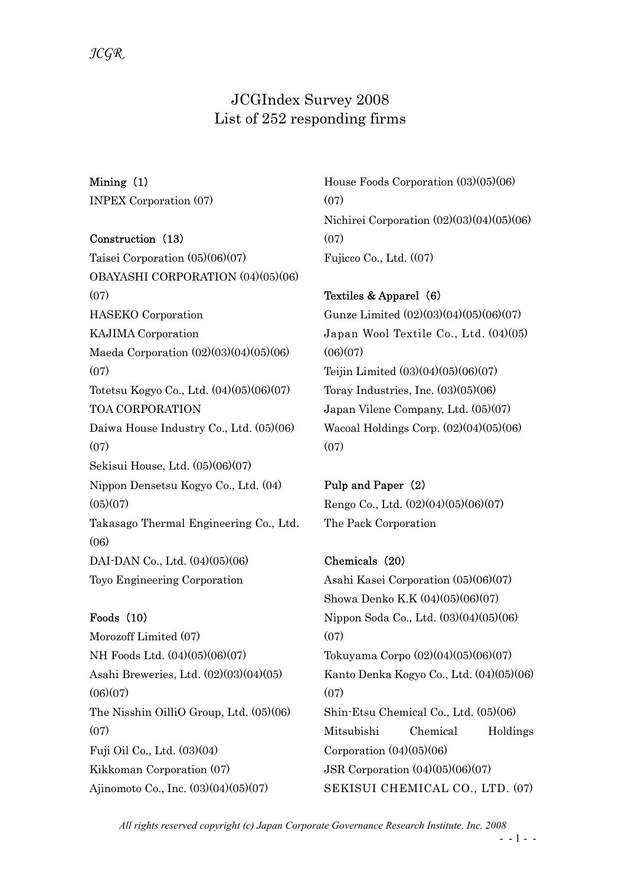## JCGIndex Survey 2008 List of 252 responding firms

Mining (1) INPEX Corporation (07)

## Construction (13)

Taisei Corporation (05)(06)(07) OBAYASHI CORPORATION (04)(05)(06)  $(07)$ HASEKO Corporation KAJIMA Corporation Maeda Corporation (02)(03)(04)(05)(06)  $(07)$ Totetsu Kogyo Co., Ltd. (04)(05)(06)(07) TOA CORPORATION Daiwa House Industry Co., Ltd. (05)(06) (07) Sekisui House, Ltd. (05)(06)(07) Nippon Densetsu Kogyo Co., Ltd. (04)  $(05)(07)$ Takasago Thermal Engineering Co., Ltd. (06) DAI-DAN Co., Ltd. (04)(05)(06) Toyo Engineering Corporation

## Foods (10)

Morozoff Limited (07) NH Foods Ltd. (04)(05)(06)(07) Asahi Breweries, Ltd. (02)(03)(04)(05)  $(06)(07)$ The Nisshin OilliO Group, Ltd. (05)(06) (07) Fuji Oil Co., Ltd. (03)(04) Kikkoman Corporation (07) Ajinomoto Co., Inc. (03)(04)(05)(07)

House Foods Corporation (03)(05)(06) (07) Nichirei Corporation (02)(03)(04)(05)(06) (07) Fujicco Co., Ltd. ((07)

# Textiles & Apparel (6)

Gunze Limited (02)(03)(04)(05)(06)(07) Japan Wool Textile Co., Ltd. (04)(05)  $(06)(07)$ Teijin Limited (03)(04)(05)(06)(07) Toray Industries, Inc. (03)(05)(06) Japan Vilene Company, Ltd. (05)(07) Wacoal Holdings Corp. (02)(04)(05)(06)  $(07)$ 

## Pulp and Paper (2)

Rengo Co., Ltd. (02)(04)(05)(06)(07) The Pack Corporation

## Chemicals (20)

Asahi Kasei Corporation (05)(06)(07) Showa Denko K.K (04)(05)(06)(07) Nippon Soda Co., Ltd. (03)(04)(05)(06) (07) Tokuyama Corpo (02)(04)(05)(06)(07) Kanto Denka Kogyo Co., Ltd. (04)(05)(06) (07) Shin-Etsu Chemical Co., Ltd. (05)(06) Mitsubishi Chemical Holdings Corporation  $(04)(05)(06)$ JSR Corporation (04)(05)(06)(07) SEKISUI CHEMICAL CO., LTD. (07)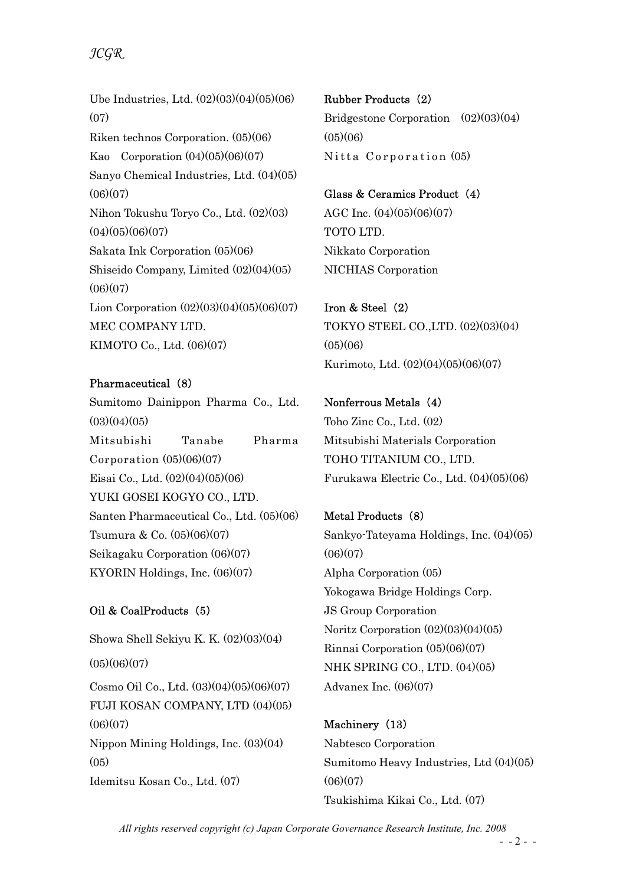Ube Industries, Ltd. (02)(03)(04)(05)(06) (07) Riken technos Corporation. (05)(06) Kao Corporation  $(04)(05)(06)(07)$ Sanyo Chemical Industries, Ltd. (04)(05)  $(06)(07)$ Nihon Tokushu Toryo Co., Ltd. (02)(03)  $(04)(05)(06)(07)$ Sakata Ink Corporation (05)(06) Shiseido Company, Limited (02)(04)(05)  $(06)(07)$ Lion Corporation (02)(03)(04)(05)(06)(07) MEC COMPANY LTD. KIMOTO Co., Ltd. (06)(07)

## Pharmaceutical (8)

Sumitomo Dainippon Pharma Co., Ltd.  $(03)(04)(05)$ Mitsubishi Tanabe Pharma Corporation (05)(06)(07) Eisai Co., Ltd. (02)(04)(05)(06) YUKI GOSEI KOGYO CO., LTD. Santen Pharmaceutical Co., Ltd. (05)(06) Tsumura & Co. (05)(06)(07) Seikagaku Corporation (06)(07) KYORIN Holdings, Inc. (06)(07)

## Oil & CoalProducts (5)

Showa Shell Sekiyu K. K. (02)(03)(04)  $(05)(06)(07)$ Cosmo Oil Co., Ltd. (03)(04)(05)(06)(07) FUJI KOSAN COMPANY, LTD (04)(05)  $(06)(07)$ Nippon Mining Holdings, Inc. (03)(04)  $(05)$ Idemitsu Kosan Co., Ltd. (07)

Rubber Products (2) Bridgestone Corporation (02)(03)(04)  $(05)(06)$ Nitta Corporation (05)

Glass & Ceramics Product (4) AGC Inc. (04)(05)(06)(07) TOTO LTD. Nikkato Corporation NICHIAS Corporation

Iron & Steel (2) TOKYO STEEL CO.,LTD. (02)(03)(04)  $(05)(06)$ Kurimoto, Ltd. (02)(04)(05)(06)(07)

Nonferrous Metals (4) Toho Zinc Co., Ltd. (02) Mitsubishi Materials Corporation TOHO TITANIUM CO., LTD. Furukawa Electric Co., Ltd. (04)(05)(06)

Metal Products (8) Sankyo-Tateyama Holdings, Inc. (04)(05)  $(06)(07)$ Alpha Corporation (05) Yokogawa Bridge Holdings Corp. JS Group Corporation Noritz Corporation (02)(03)(04)(05) Rinnai Corporation (05)(06)(07) NHK SPRING CO., LTD. (04)(05) Advanex Inc. (06)(07)

Machinery (13) Nabtesco Corporation Sumitomo Heavy Industries, Ltd (04)(05)  $(06)(07)$ Tsukishima Kikai Co., Ltd. (07)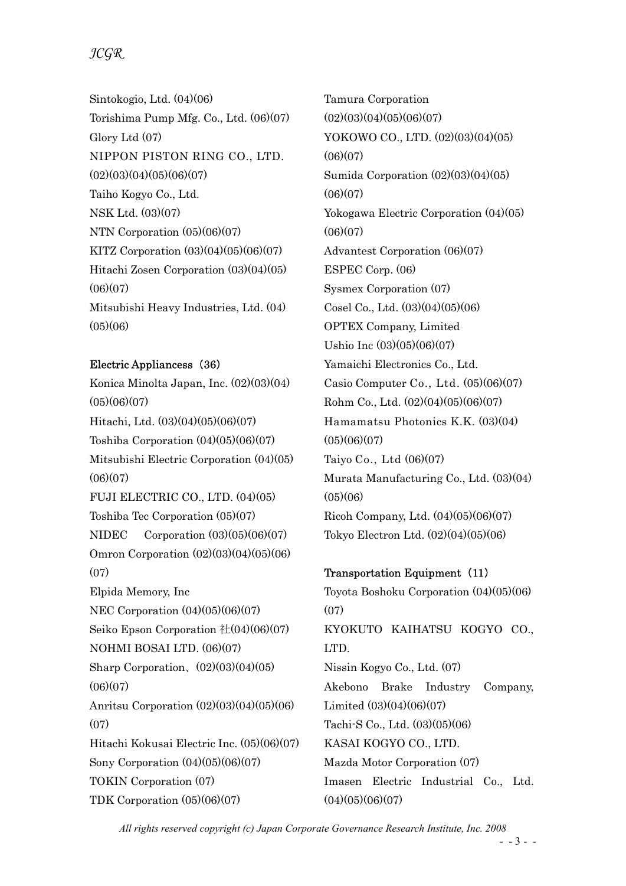## JCGR

Sintokogio, Ltd. (04)(06) Torishima Pump Mfg. Co., Ltd. (06)(07) Glory Ltd (07) NIPPON PISTON RING CO., LTD.  $(02)(03)(04)(05)(06)(07)$ Taiho Kogyo Co., Ltd. NSK Ltd. (03)(07) NTN Corporation (05)(06)(07) KITZ Corporation (03)(04)(05)(06)(07) Hitachi Zosen Corporation (03)(04)(05)  $(06)(07)$ Mitsubishi Heavy Industries, Ltd. (04)  $(05)(06)$ 

## Electric Appliancess (36)

Konica Minolta Japan, Inc. (02)(03)(04)  $(05)(06)(07)$ Hitachi, Ltd. (03)(04)(05)(06)(07) Toshiba Corporation (04)(05)(06)(07) Mitsubishi Electric Corporation (04)(05)  $(06)(07)$ FUJI ELECTRIC CO., LTD. (04)(05) Toshiba Tec Corporation (05)(07) NIDEC Corporation (03)(05)(06)(07) Omron Corporation (02)(03)(04)(05)(06) (07) Elpida Memory, Inc NEC Corporation (04)(05)(06)(07) Seiko Epson Corporation 社(04)(06)(07) NOHMI BOSAI LTD. (06)(07) Sharp Corporation、(02)(03)(04)(05)  $(06)(07)$ Anritsu Corporation (02)(03)(04)(05)(06)  $(07)$ Hitachi Kokusai Electric Inc. (05)(06)(07) Sony Corporation (04)(05)(06)(07) TOKIN Corporation (07) TDK Corporation (05)(06)(07)

Tamura Corporation  $(02)(03)(04)(05)(06)(07)$ YOKOWO CO., LTD. (02)(03)(04)(05)  $(06)(07)$ Sumida Corporation (02)(03)(04)(05)  $(06)(07)$ Yokogawa Electric Corporation (04)(05)  $(06)(07)$ Advantest Corporation (06)(07) ESPEC Corp. (06) Sysmex Corporation (07) Cosel Co., Ltd. (03)(04)(05)(06) OPTEX Company, Limited Ushio Inc (03)(05)(06)(07) Yamaichi Electronics Co., Ltd. Casio Computer Co., Ltd. (05)(06)(07) Rohm Co., Ltd. (02)(04)(05)(06)(07) Hamamatsu Photonics K.K. (03)(04)  $(05)(06)(07)$ Taiyo Co., Ltd (06)(07) Murata Manufacturing Co., Ltd. (03)(04)  $(05)(06)$ Ricoh Company, Ltd. (04)(05)(06)(07) Tokyo Electron Ltd. (02)(04)(05)(06)

## Transportation Equipment (11)

Toyota Boshoku Corporation (04)(05)(06)  $(07)$ KYOKUTO KAIHATSU KOGYO CO., LTD. Nissin Kogyo Co., Ltd. (07) Akebono Brake Industry Company, Limited (03)(04)(06)(07) Tachi-S Co., Ltd. (03)(05)(06) KASAI KOGYO CO., LTD. Mazda Motor Corporation (07) Imasen Electric Industrial Co., Ltd.  $(04)(05)(06)(07)$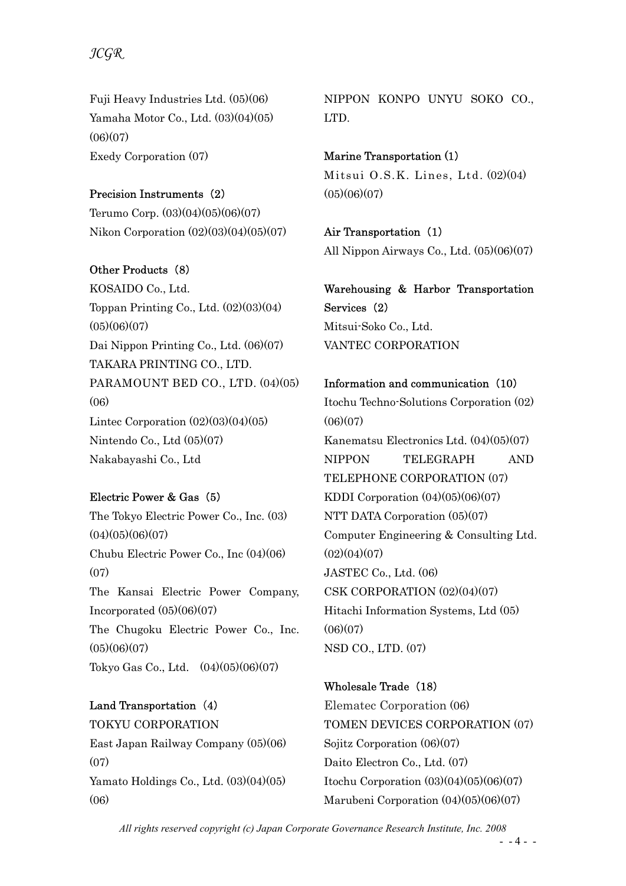## JCGR

Fuji Heavy Industries Ltd. (05)(06) Yamaha Motor Co., Ltd. (03)(04)(05)  $(06)(07)$ Exedy Corporation (07)

## Precision Instruments (2)

Terumo Corp. (03)(04)(05)(06)(07) Nikon Corporation (02)(03)(04)(05)(07)

Other Products (8) KOSAIDO Co., Ltd. Toppan Printing Co., Ltd. (02)(03)(04)  $(05)(06)(07)$ Dai Nippon Printing Co., Ltd. (06)(07) TAKARA PRINTING CO., LTD. PARAMOUNT BED CO., LTD. (04)(05) (06) Lintec Corporation  $(02)(03)(04)(05)$ Nintendo Co., Ltd (05)(07) Nakabayashi Co., Ltd

## Electric Power & Gas (5)

The Tokyo Electric Power Co., Inc. (03)  $(04)(05)(06)(07)$ Chubu Electric Power Co., Inc (04)(06) (07) The Kansai Electric Power Company, Incorporated  $(05)(06)(07)$ The Chugoku Electric Power Co., Inc.  $(05)(06)(07)$ Tokyo Gas Co., Ltd. (04)(05)(06)(07)

Land Transportation (4) TOKYU CORPORATION East Japan Railway Company (05)(06)  $(07)$ Yamato Holdings Co., Ltd. (03)(04)(05) (06)

NIPPON KONPO UNYU SOKO CO., LTD.

Marine Transportation (1) Mitsui O.S.K. Lines, Ltd. (02)(04)  $(05)(06)(07)$ 

## Air Transportation (1)

All Nippon Airways Co., Ltd. (05)(06)(07)

Warehousing & Harbor Transportation Services (2) Mitsui-Soko Co., Ltd. VANTEC CORPORATION

Information and communication (10) Itochu Techno-Solutions Corporation (02)  $(06)(07)$ Kanematsu Electronics Ltd. (04)(05)(07) NIPPON TELEGRAPH AND TELEPHONE CORPORATION (07) KDDI Corporation (04)(05)(06)(07) NTT DATA Corporation (05)(07) Computer Engineering & Consulting Ltd.  $(02)(04)(07)$ JASTEC Co., Ltd. (06) CSK CORPORATION (02)(04)(07) Hitachi Information Systems, Ltd (05)  $(06)(07)$ NSD CO., LTD. (07)

Wholesale Trade (18) Elematec Corporation (06) TOMEN DEVICES CORPORATION (07) Sojitz Corporation (06)(07) Daito Electron Co., Ltd. (07) Itochu Corporation (03)(04)(05)(06)(07) Marubeni Corporation (04)(05)(06)(07)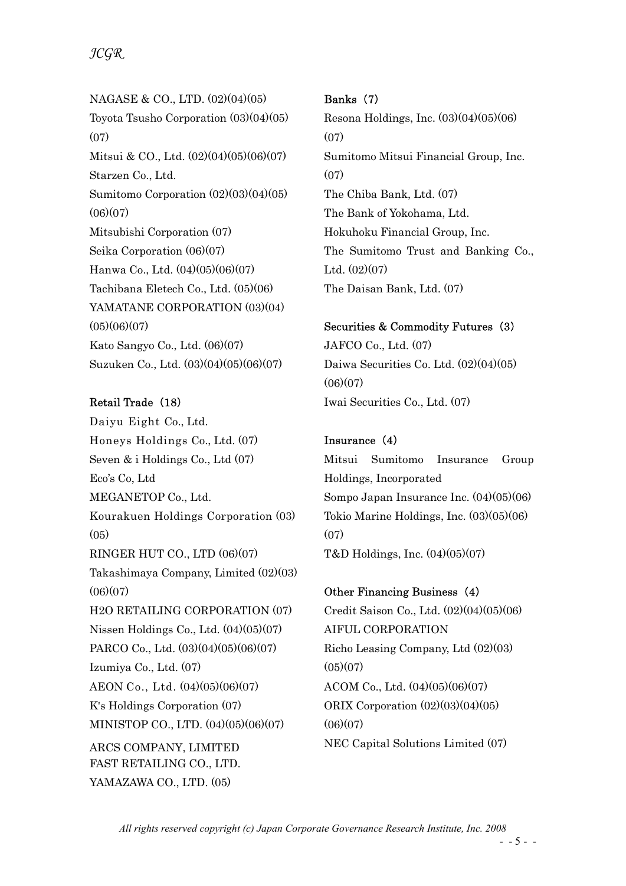NAGASE & CO., LTD. (02)(04)(05) Toyota Tsusho Corporation (03)(04)(05) (07) Mitsui & CO., Ltd. (02)(04)(05)(06)(07) Starzen Co., Ltd. Sumitomo Corporation (02)(03)(04)(05)  $(06)(07)$ Mitsubishi Corporation (07) Seika Corporation (06)(07) Hanwa Co., Ltd. (04)(05)(06)(07) Tachibana Eletech Co., Ltd. (05)(06) YAMATANE CORPORATION (03)(04)  $(05)(06)(07)$ Kato Sangyo Co., Ltd. (06)(07) Suzuken Co., Ltd. (03)(04)(05)(06)(07)

## Retail Trade (18)

Daiyu Eight Co., Ltd. Honeys Holdings Co., Ltd. (07) Seven & i Holdings Co., Ltd (07) Eco's Co, Ltd MEGANETOP Co., Ltd. Kourakuen Holdings Corporation (03)  $(05)$ RINGER HUT CO., LTD (06)(07) Takashimaya Company, Limited (02)(03)  $(06)(07)$ H2O RETAILING CORPORATION (07) Nissen Holdings Co., Ltd. (04)(05)(07) PARCO Co., Ltd. (03)(04)(05)(06)(07) Izumiya Co., Ltd. (07) AEON Co., Ltd. (04)(05)(06)(07) K's Holdings Corporation (07) MINISTOP CO., LTD. (04)(05)(06)(07) ARCS COMPANY, LIMITED FAST RETAILING CO., LTD. YAMAZAWA CO., LTD. (05)

## Banks (7)

Resona Holdings, Inc. (03)(04)(05)(06)  $(07)$ Sumitomo Mitsui Financial Group, Inc.  $(07)$ The Chiba Bank, Ltd. (07) The Bank of Yokohama, Ltd. Hokuhoku Financial Group, Inc. The Sumitomo Trust and Banking Co., Ltd. (02)(07) The Daisan Bank, Ltd. (07)

#### Securities & Commodity Futures (3)

JAFCO Co., Ltd. (07) Daiwa Securities Co. Ltd. (02)(04)(05)  $(06)(07)$ Iwai Securities Co., Ltd. (07)

## Insurance (4)

Mitsui Sumitomo Insurance Group Holdings, Incorporated Sompo Japan Insurance Inc. (04)(05)(06) Tokio Marine Holdings, Inc. (03)(05)(06)  $(07)$ T&D Holdings, Inc. (04)(05)(07)

## Other Financing Business (4)

Credit Saison Co., Ltd. (02)(04)(05)(06) AIFUL CORPORATION Richo Leasing Company, Ltd (02)(03)  $(05)(07)$ ACOM Co., Ltd. (04)(05)(06)(07) ORIX Corporation (02)(03)(04)(05)  $(06)(07)$ NEC Capital Solutions Limited (07)